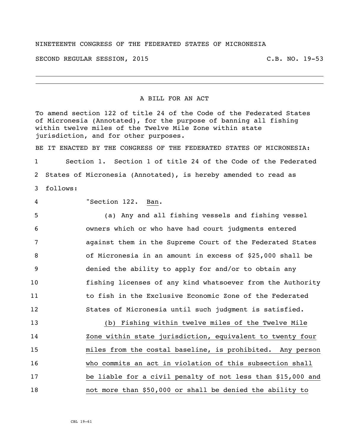## NINETEENTH CONGRESS OF THE FEDERATED STATES OF MICRONESIA

SECOND REGULAR SESSION, 2015 C.B. NO. 19-53

## A BILL FOR AN ACT

To amend section 122 of title 24 of the Code of the Federated States of Micronesia (Annotated), for the purpose of banning all fishing within twelve miles of the Twelve Mile Zone within state jurisdiction, and for other purposes.

BE IT ENACTED BY THE CONGRESS OF THE FEDERATED STATES OF MICRONESIA: Section 1. Section 1 of title 24 of the Code of the Federated States of Micronesia (Annotated), is hereby amended to read as follows:

"Section 122. Ban.

 (a) Any and all fishing vessels and fishing vessel owners which or who have had court judgments entered against them in the Supreme Court of the Federated States of Micronesia in an amount in excess of \$25,000 shall be denied the ability to apply for and/or to obtain any fishing licenses of any kind whatsoever from the Authority to fish in the Exclusive Economic Zone of the Federated States of Micronesia until such judgment is satisfied.

 (b) Fishing within twelve miles of the Twelve Mile Zone within state jurisdiction, equivalent to twenty four miles from the costal baseline, is prohibited. Any person who commits an act in violation of this subsection shall be liable for a civil penalty of not less than \$15,000 and not more than \$50,000 or shall be denied the ability to